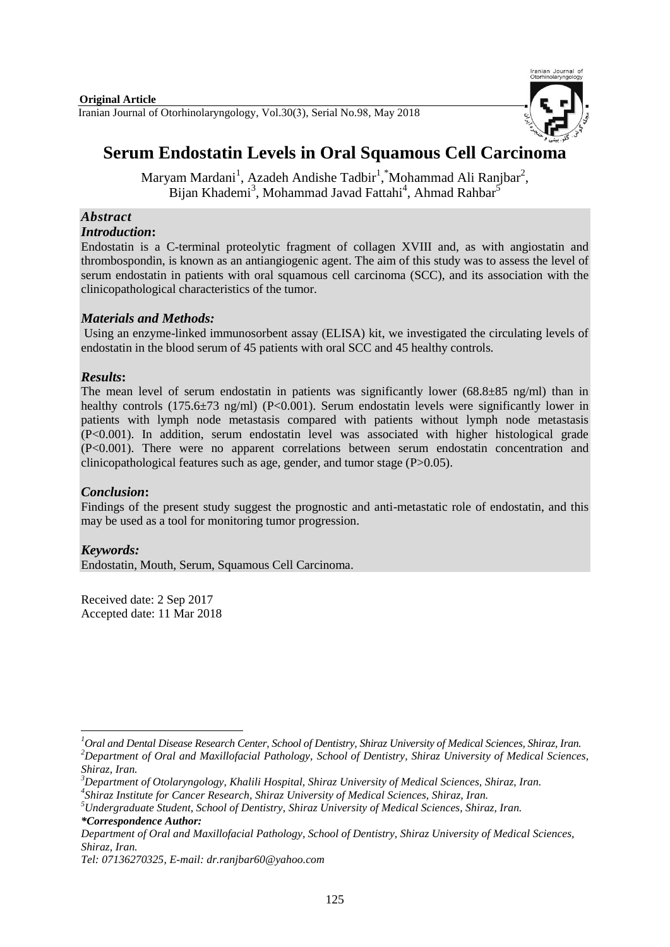

# **Serum Endostatin Levels in Oral Squamous Cell Carcinoma**

Maryam Mardani<sup>1</sup>, Azadeh Andishe Tadbir<sup>1</sup>, \*Mohammad Ali Ranjbar<sup>2</sup>, Bijan Khademi<sup>3</sup>, Mohammad Javad Fattahi<sup>4</sup>, Ahmad Rahbar<sup>5</sup>

# *Abstract*

# *Introduction***:**

Endostatin is a C-terminal proteolytic fragment of collagen XVIII and, as with angiostatin and thrombospondin, is known as an antiangiogenic agent. The aim of this study was to assess the level of serum endostatin in patients with oral squamous cell carcinoma (SCC), and its association with the clinicopathological characteristics of the tumor.

# *Materials and Methods:*

Using an enzyme-linked immunosorbent assay (ELISA) kit, we investigated the circulating levels of endostatin in the blood serum of 45 patients with oral SCC and 45 healthy controls.

# *Results***:**

The mean level of serum endostatin in patients was significantly lower  $(68.8\pm85 \text{ ng/ml})$  than in healthy controls (175.6 $\pm$ 73 ng/ml) (P<0.001). Serum endostatin levels were significantly lower in patients with lymph node metastasis compared with patients without lymph node metastasis (P<0.001). In addition, serum endostatin level was associated with higher histological grade (P<0.001). There were no apparent correlations between serum endostatin concentration and clinicopathological features such as age, gender, and tumor stage (P>0.05).

# *Conclusion***:**

Findings of the present study suggest the prognostic and anti-metastatic role of endostatin, and this may be used as a tool for monitoring tumor progression.

# *Keywords:*

**.** 

Endostatin, Mouth, Serum, Squamous Cell Carcinoma.

Received date: 2 Sep 2017 Accepted date: 11 Mar 2018

*<sup>1</sup>Oral and Dental Disease Research Center, School of Dentistry, Shiraz University of Medical Sciences, Shiraz, Iran. <sup>2</sup>Department of Oral and Maxillofacial Pathology, School of Dentistry, Shiraz University of Medical Sciences, Shiraz, Iran.*

*<sup>3</sup>Department of Otolaryngology, Khalili Hospital, Shiraz University of Medical Sciences, Shiraz, Iran. 4 Shiraz Institute for Cancer Research, Shiraz University of Medical Sciences, Shiraz, Iran.*

*<sup>5</sup>Undergraduate Student, School of Dentistry, Shiraz University of Medical Sciences, Shiraz, Iran. \*Correspondence Author:* 

*Department of Oral and Maxillofacial Pathology, School of Dentistry, Shiraz University of Medical Sciences, Shiraz, Iran.*

*Tel: 07136270325, E-mail[: dr.ranjbar60@yahoo.com](mailto:dr.ranjbar60@yahoo.com)*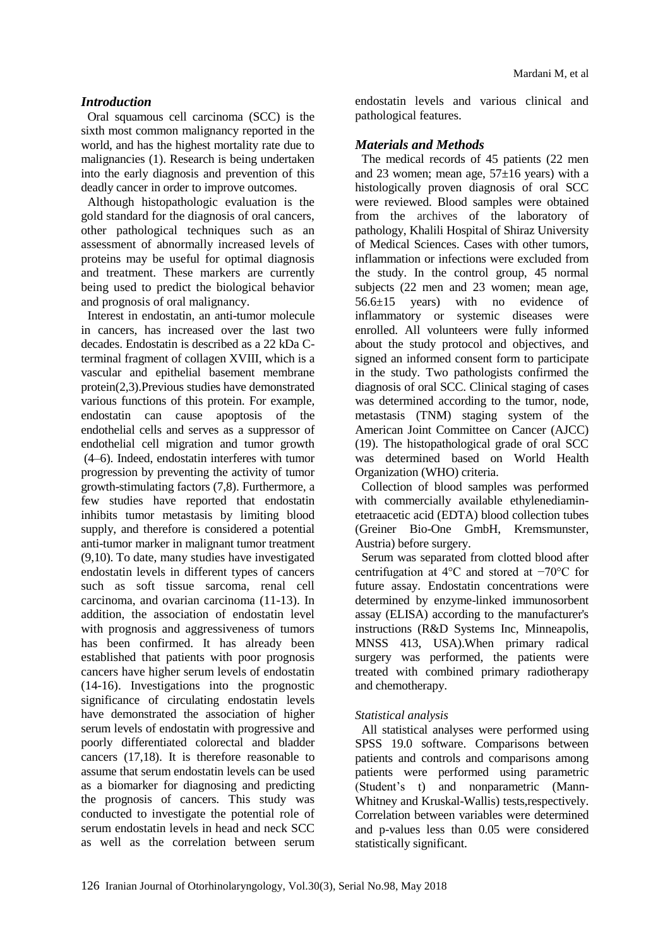#### *Introduction*

Oral squamous cell carcinoma (SCC) is the sixth most common malignancy reported in the world, and has the highest mortality rate due to malignancies (1). Research is being undertaken into the early diagnosis and prevention of this deadly cancer in order to improve outcomes.

Although histopathologic evaluation is the gold standard for the diagnosis of oral cancers, other pathological techniques such as an assessment of abnormally increased levels of proteins may be useful for optimal diagnosis and treatment. These markers are currently being used to predict the biological behavior and prognosis of oral malignancy.

Interest in endostatin, an anti-tumor molecule in cancers, has increased over the last two decades. Endostatin is described as a 22 kDa Cterminal fragment of collagen XVIII, which is a vascular and epithelial basement membrane protein(2,3).Previous studies have demonstrated various functions of this protein. For example, endostatin can cause apoptosis of the endothelial cells and serves as a suppressor of endothelial cell migration and tumor growth (4–6). Indeed, endostatin interferes with tumor progression by preventing the activity of tumor growth-stimulating factors (7,8). Furthermore, a few studies have reported that endostatin inhibits tumor metastasis by limiting blood supply, and therefore is considered a potential anti-tumor marker in malignant tumor treatment (9,10). To date, many studies have investigated endostatin levels in different types of cancers such as soft tissue sarcoma, renal cell carcinoma, and ovarian carcinoma (11-13). In addition, the association of endostatin level with prognosis and aggressiveness of tumors has been confirmed. It has already been established that patients with poor prognosis cancers have higher serum levels of endostatin (14-16). Investigations into the prognostic significance of circulating endostatin levels have demonstrated the association of higher serum levels of endostatin with progressive and poorly differentiated colorectal and bladder cancers (17,18). It is therefore reasonable to assume that serum endostatin levels can be used as a biomarker for diagnosing and predicting the prognosis of cancers. This study was conducted to investigate the potential role of serum endostatin levels in head and neck SCC as well as the correlation between serum

endostatin levels and various clinical and pathological features.

#### *Materials and Methods*

The medical records of 45 patients (22 men and 23 women; mean age,  $57\pm16$  years) with a histologically proven diagnosis of oral SCC were reviewed. Blood samples were obtained from the archives of the laboratory of pathology, Khalili Hospital of Shiraz University of Medical Sciences. Cases with other tumors, inflammation or infections were excluded from the study. In the control group, 45 normal subjects (22 men and 23 women; mean age, 56.6±15 years) with no evidence of inflammatory or systemic diseases were enrolled. All volunteers were fully informed about the study protocol and objectives, and signed an informed consent form to participate in the study. Two pathologists confirmed the diagnosis of oral SCC. Clinical staging of cases was determined according to the tumor, node, metastasis (TNM) staging system of the American Joint Committee on Cancer (AJCC) (19). The histopathological grade of oral SCC was determined based on World Health Organization (WHO) criteria.

Collection of blood samples was performed with commercially available ethylenediaminetetraacetic acid (EDTA) blood collection tubes (Greiner Bio-One GmbH, Kremsmunster, Austria) before surgery.

Serum was separated from clotted blood after centrifugation at 4°C and stored at −70°C for future assay. Endostatin concentrations were determined by enzyme-linked immunosorbent assay (ELISA) according to the manufacturer's instructions (R&D Systems Inc, Minneapolis, MNSS 413, USA).When primary radical surgery was performed, the patients were treated with combined primary radiotherapy and chemotherapy.

#### *Statistical analysis*

All statistical analyses were performed using SPSS 19.0 software. Comparisons between patients and controls and comparisons among patients were performed using parametric (Student's t) and nonparametric (Mann-Whitney and Kruskal-Wallis) tests,respectively. Correlation between variables were determined and p-values less than 0.05 were considered statistically significant.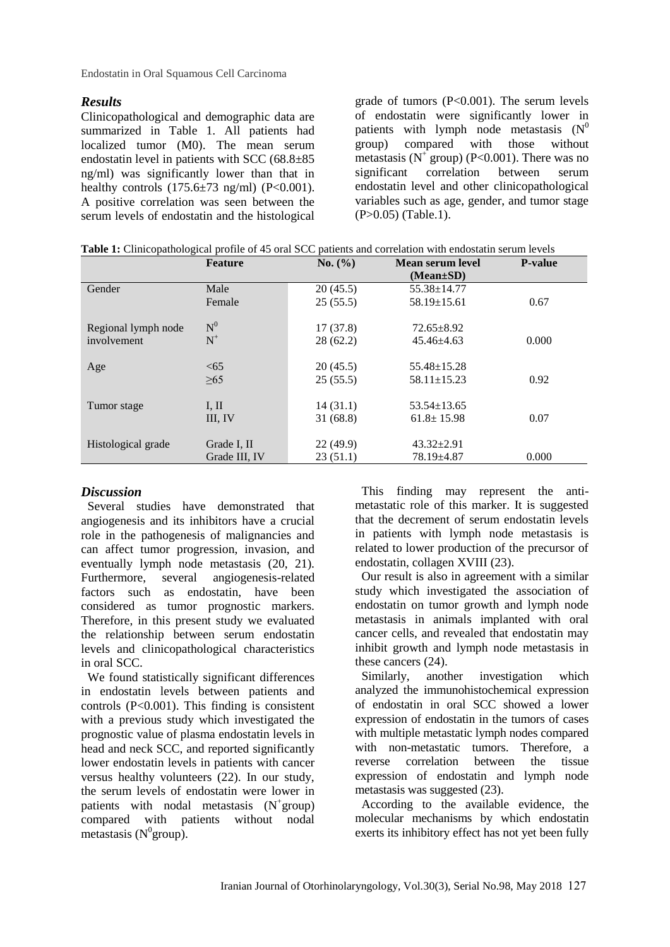Endostatin in Oral Squamous Cell Carcinoma

#### *Results*

Clinicopathological and demographic data are summarized in Table 1. All patients had localized tumor (M0). The mean serum endostatin level in patients with SCC (68.8±85 ng/ml) was significantly lower than that in healthy controls  $(175.6\pm73 \text{ ng/ml})$   $(P<0.001)$ . A positive correlation was seen between the serum levels of endostatin and the histological

grade of tumors  $(P<0.001)$ . The serum levels of endostatin were significantly lower in patients with lymph node metastasis  $(N^0)$ group) compared with those without metastasis ( $N^+$  group) (P<0.001). There was no significant correlation between serum endostatin level and other clinicopathological variables such as age, gender, and tumor stage (P>0.05) (Table.1).

|  |  | Table 1: Clinicopathological profile of 45 oral SCC patients and correlation with endostatin serum levels |
|--|--|-----------------------------------------------------------------------------------------------------------|
|  |  |                                                                                                           |

|                                    | Feature                            | No. (%)              | Mean serum level<br>$(Mean \pm SD)$  | <b>P-value</b> |
|------------------------------------|------------------------------------|----------------------|--------------------------------------|----------------|
| Gender                             | Male                               | 20(45.5)             | 55.38±14.77                          |                |
|                                    | Female                             | 25(55.5)             | $58.19 \pm 15.61$                    | 0.67           |
| Regional lymph node<br>involvement | $\mathrm{N}^{0}$<br>$\mathbf{N}^+$ | 17(37.8)<br>28(62.2) | $72.65 \pm 8.92$<br>$45.46 \pm 4.63$ | 0.000          |
|                                    |                                    |                      |                                      |                |
| Age                                | <65                                | 20(45.5)             | $55.48 \pm 15.28$                    |                |
|                                    | >65                                | 25(55.5)             | $58.11 \pm 15.23$                    | 0.92           |
| Tumor stage                        | I, II                              | 14(31.1)             | $53.54 \pm 13.65$                    |                |
|                                    | III, IV                            | 31(68.8)             | $61.8 \pm 15.98$                     | 0.07           |
|                                    |                                    |                      |                                      |                |
| Histological grade                 | Grade I, II                        | 22(49.9)             | $43.32 \pm 2.91$                     |                |
|                                    | Grade III, IV                      | 23(51.1)             | 78.19±4.87                           | 0.000          |

# *Discussion*

Several studies have demonstrated that angiogenesis and its inhibitors have a crucial role in the pathogenesis of malignancies and can affect tumor progression, invasion, and eventually lymph node metastasis (20, 21). Furthermore, several angiogenesis-related factors such as endostatin, have been considered as tumor prognostic markers. Therefore, in this present study we evaluated the relationship between serum endostatin levels and clinicopathological characteristics in oral SCC.

We found statistically significant differences in endostatin levels between patients and controls  $(P<0.001)$ . This finding is consistent with a previous study which investigated the prognostic value of plasma endostatin levels in head and neck SCC, and reported significantly lower endostatin levels in patients with cancer versus healthy volunteers (22). In our study, the serum levels of endostatin were lower in patients with nodal metastasis  $(N^+$ group) compared with patients without nodal metastasis ( $N^{0}$ group).

This finding may represent the antimetastatic role of this marker. It is suggested that the decrement of serum endostatin levels in patients with lymph node metastasis is related to lower production of the precursor of endostatin, collagen XVIII (23).

Our result is also in agreement with a similar study which investigated the association of endostatin on tumor growth and lymph node metastasis in animals implanted with oral cancer cells, and revealed that endostatin may inhibit growth and lymph node metastasis in these cancers (24).

Similarly, another investigation which analyzed the immunohistochemical expression of endostatin in oral SCC showed a lower expression of endostatin in the tumors of cases with multiple metastatic lymph nodes compared with non-metastatic tumors. Therefore, a reverse correlation between the tissue expression of endostatin and lymph node metastasis was suggested (23).

According to the available evidence, the molecular mechanisms by which endostatin exerts its inhibitory effect has not yet been fully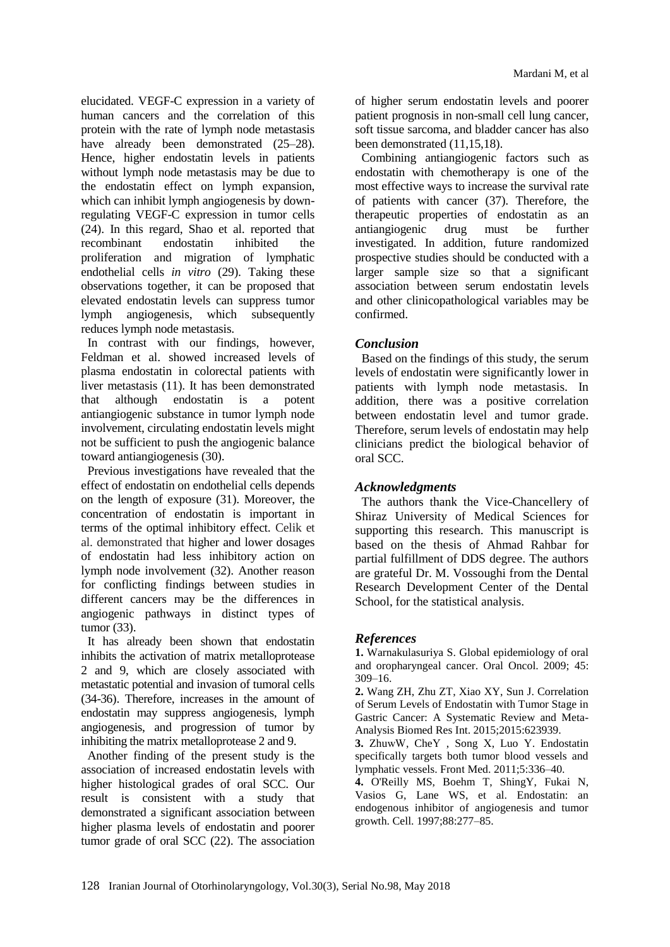elucidated. VEGF-C expression in a variety of human cancers and the correlation of this protein with the rate of lymph node metastasis have already been demonstrated (25–28). Hence, higher endostatin levels in patients without lymph node metastasis may be due to the endostatin effect on lymph expansion, which can inhibit lymph angiogenesis by downregulating VEGF-C expression in tumor cells (24). In this regard, Shao et al. reported that recombinant endostatin inhibited the proliferation and migration of lymphatic endothelial cells *in vitro* (29). Taking these observations together, it can be proposed that elevated endostatin levels can suppress tumor lymph angiogenesis, which subsequently reduces lymph node metastasis.

In contrast with our findings, however, Feldman et al. showed increased levels of plasma endostatin in colorectal patients with liver metastasis (11). It has been demonstrated that although endostatin is a potent antiangiogenic substance in tumor lymph node involvement, circulating endostatin levels might not be sufficient to push the angiogenic balance toward antiangiogenesis (30).

Previous investigations have revealed that the effect of endostatin on endothelial cells depends on the length of exposure (31). Moreover, the concentration of endostatin is important in terms of the optimal inhibitory effect. Celik et al. demonstrated that higher and lower dosages of endostatin had less inhibitory action on lymph node involvement (32). Another reason for conflicting findings between studies in different cancers may be the differences in angiogenic pathways in distinct types of tumor (33).

It has already been shown that endostatin inhibits the activation of matrix metalloprotease 2 and 9, which are closely associated with metastatic potential and invasion of tumoral cells (34-36). Therefore, increases in the amount of endostatin may suppress angiogenesis, lymph angiogenesis, and progression of tumor by inhibiting the matrix metalloprotease 2 and 9.

Another finding of the present study is the association of increased endostatin levels with higher histological grades of oral SCC. Our result is consistent with a study that demonstrated a significant association between higher plasma levels of endostatin and poorer tumor grade of oral SCC (22). The association of higher serum endostatin levels and poorer patient prognosis in non-small cell lung cancer, soft tissue sarcoma, and bladder cancer has also been demonstrated (11,15,18).

Combining antiangiogenic factors such as endostatin with chemotherapy is one of the most effective ways to increase the survival rate of patients with cancer (37). Therefore, the therapeutic properties of endostatin as an antiangiogenic drug must be further investigated. In addition, future randomized prospective studies should be conducted with a larger sample size so that a significant association between serum endostatin levels and other clinicopathological variables may be confirmed.

# *Conclusion*

Based on the findings of this study, the serum levels of endostatin were significantly lower in patients with lymph node metastasis. In addition, there was a positive correlation between endostatin level and tumor grade. Therefore, serum levels of endostatin may help clinicians predict the biological behavior of oral SCC.

#### *Acknowledgments*

The authors thank the Vice-Chancellery of Shiraz University of Medical Sciences for supporting this research. This manuscript is based on the thesis of Ahmad Rahbar for partial fulfillment of DDS degree. The authors are grateful Dr. M. Vossoughi from the Dental Research Development Center of the Dental School, for the statistical analysis.

# *References*

**1.** Warnakulasuriya S. Global epidemiology of oral and oropharyngeal cancer. Oral Oncol. 2009; 45: 309–16.

**2.** Wang ZH, Zhu ZT, Xiao XY, Sun J. Correlation of Serum Levels of Endostatin with Tumor Stage in Gastric Cancer: A Systematic Review and Meta-Analysis Biomed Res Int. 2015;2015:623939.

**3.** ZhuWw, CheY , Song X, Luo Y. Endostatin specifically targets both tumor blood vessels and lymphatic vessels. Front Med. 2011;5:336–40.

**4.** O'Reilly MS, Boehm T, ShingY, [Fukai N,](http://www.ncbi.nlm.nih.gov/pubmed/?term=Fukai%20N%5BAuthor%5D&cauthor=true&cauthor_uid=9008168) [Vasios G,](http://www.ncbi.nlm.nih.gov/pubmed/?term=Vasios%20G%5BAuthor%5D&cauthor=true&cauthor_uid=9008168) [Lane WS,](http://www.ncbi.nlm.nih.gov/pubmed/?term=Lane%20WS%5BAuthor%5D&cauthor=true&cauthor_uid=9008168) et al. Endostatin: an endogenous inhibitor of angiogenesis and tumor growth. Cell. 1997;88:277–85.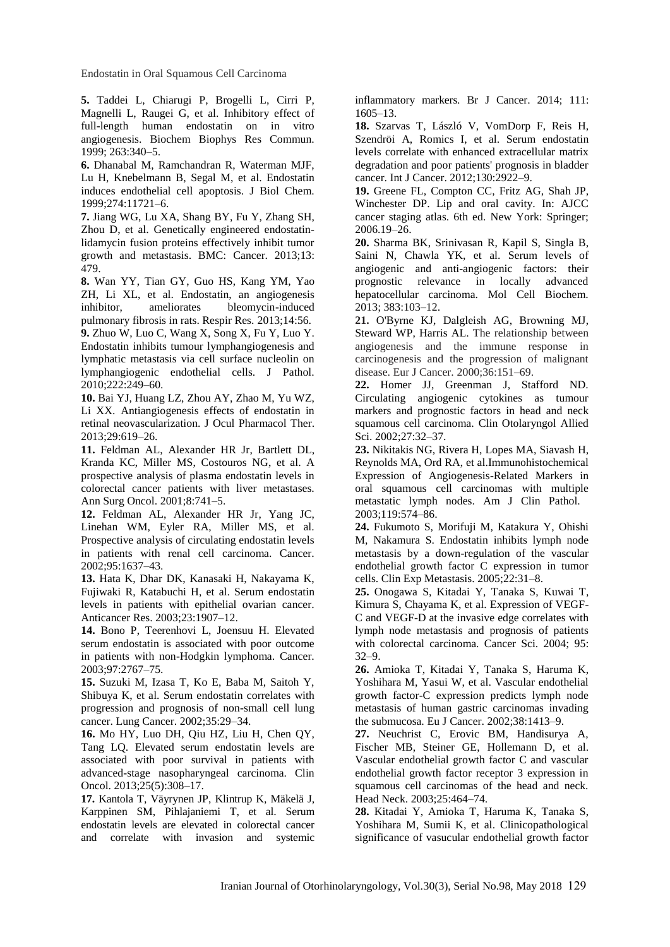Endostatin in Oral Squamous Cell Carcinoma

**5.** Taddei L, Chiarugi P, Brogelli L, Cirri P, Magnelli L, Raugei G, et al. Inhibitory effect of full-length human endostatin on in vitro angiogenesis. Biochem Biophys Res Commun. 1999; 263:340–5.

**6.** Dhanabal M, Ramchandran R, Waterman MJF, Lu H, Knebelmann B, Segal M, et al. Endostatin induces endothelial cell apoptosis. J Biol Chem. 1999;274:11721–6.

**7.** Jiang WG, [Lu XA,](http://www.ncbi.nlm.nih.gov/pubmed/?term=Lu%20XA%5BAuthor%5D&cauthor=true&cauthor_uid=24128285) [Shang BY,](http://www.ncbi.nlm.nih.gov/pubmed/?term=Shang%20BY%5BAuthor%5D&cauthor=true&cauthor_uid=24128285) [Fu Y,](http://www.ncbi.nlm.nih.gov/pubmed/?term=Fu%20Y%5BAuthor%5D&cauthor=true&cauthor_uid=24128285) [Zhang SH,](http://www.ncbi.nlm.nih.gov/pubmed/?term=Zhang%20SH%5BAuthor%5D&cauthor=true&cauthor_uid=24128285) [Zhou D,](http://www.ncbi.nlm.nih.gov/pubmed/?term=Zhou%20D%5BAuthor%5D&cauthor=true&cauthor_uid=24128285) et al. Genetically engineered endostatinlidamycin fusion proteins effectively inhibit tumor growth and metastasis. BMC: Cancer. 2013;13: 479.

**8.** [Wan YY,](http://www.ncbi.nlm.nih.gov/pubmed/?term=Wan%20YY%5BAuthor%5D&cauthor=true&cauthor_uid=23688086) [Tian GY,](http://www.ncbi.nlm.nih.gov/pubmed/?term=Tian%20GY%5BAuthor%5D&cauthor=true&cauthor_uid=23688086) [Guo HS,](http://www.ncbi.nlm.nih.gov/pubmed/?term=Guo%20HS%5BAuthor%5D&cauthor=true&cauthor_uid=23688086) [Kang YM,](http://www.ncbi.nlm.nih.gov/pubmed/?term=Kang%20YM%5BAuthor%5D&cauthor=true&cauthor_uid=23688086) [Yao](http://www.ncbi.nlm.nih.gov/pubmed/?term=Yao%20ZH%5BAuthor%5D&cauthor=true&cauthor_uid=23688086)  [ZH,](http://www.ncbi.nlm.nih.gov/pubmed/?term=Yao%20ZH%5BAuthor%5D&cauthor=true&cauthor_uid=23688086) [Li XL,](http://www.ncbi.nlm.nih.gov/pubmed/?term=Li%20XL%5BAuthor%5D&cauthor=true&cauthor_uid=23688086) et al. Endostatin, an angiogenesis inhibitor, ameliorates bleomycin-induced pulmonary fibrosis in rats. Respir Res. 2013;14:56.

**9.** [Zhuo W,](http://www.ncbi.nlm.nih.gov/pubmed/?term=Zhuo%20W%5BAuthor%5D&cauthor=true&cauthor_uid=20814900) [Luo C,](http://www.ncbi.nlm.nih.gov/pubmed/?term=Luo%20C%5BAuthor%5D&cauthor=true&cauthor_uid=20814900) [Wang X,](http://www.ncbi.nlm.nih.gov/pubmed/?term=Wang%20X%5BAuthor%5D&cauthor=true&cauthor_uid=20814900) [Song X,](http://www.ncbi.nlm.nih.gov/pubmed/?term=Song%20X%5BAuthor%5D&cauthor=true&cauthor_uid=20814900) [Fu Y,](http://www.ncbi.nlm.nih.gov/pubmed/?term=Fu%20Y%5BAuthor%5D&cauthor=true&cauthor_uid=20814900) [Luo Y.](http://www.ncbi.nlm.nih.gov/pubmed/?term=Luo%20Y%5BAuthor%5D&cauthor=true&cauthor_uid=20814900) Endostatin inhibits tumour lymphangiogenesis and lymphatic metastasis via cell surface nucleolin on lymphangiogenic endothelial cells. J Pathol. 2010;222:249–60.

**10.** [Bai YJ,](http://www.ncbi.nlm.nih.gov/pubmed/?term=Bai%20YJ%5BAuthor%5D&cauthor=true&cauthor_uid=23545016) [Huang LZ,](http://www.ncbi.nlm.nih.gov/pubmed/?term=Huang%20LZ%5BAuthor%5D&cauthor=true&cauthor_uid=23545016) [Zhou AY,](http://www.ncbi.nlm.nih.gov/pubmed/?term=Zhou%20AY%5BAuthor%5D&cauthor=true&cauthor_uid=23545016) [Zhao M,](http://www.ncbi.nlm.nih.gov/pubmed/?term=Zhao%20M%5BAuthor%5D&cauthor=true&cauthor_uid=23545016) [Yu WZ,](http://www.ncbi.nlm.nih.gov/pubmed/?term=Yu%20WZ%5BAuthor%5D&cauthor=true&cauthor_uid=23545016) [Li XX.](http://www.ncbi.nlm.nih.gov/pubmed/?term=Li%20XX%5BAuthor%5D&cauthor=true&cauthor_uid=23545016) Antiangiogenesis effects of endostatin in retinal neovascularization. [J Ocul Pharmacol Ther.](http://www.ncbi.nlm.nih.gov/pubmed/23545016) 2013;29:619–26.

**11.** [Feldman AL,](https://www.ncbi.nlm.nih.gov/pubmed/?term=Feldman%20AL%5BAuthor%5D&cauthor=true&cauthor_uid=11597016) [Alexander HR Jr,](https://www.ncbi.nlm.nih.gov/pubmed/?term=Alexander%20HR%20Jr%5BAuthor%5D&cauthor=true&cauthor_uid=11597016) [Bartlett DL,](https://www.ncbi.nlm.nih.gov/pubmed/?term=Bartlett%20DL%5BAuthor%5D&cauthor=true&cauthor_uid=11597016) [Kranda KC,](https://www.ncbi.nlm.nih.gov/pubmed/?term=Kranda%20KC%5BAuthor%5D&cauthor=true&cauthor_uid=11597016) [Miller MS,](https://www.ncbi.nlm.nih.gov/pubmed/?term=Miller%20MS%5BAuthor%5D&cauthor=true&cauthor_uid=11597016) [Costouros NG,](https://www.ncbi.nlm.nih.gov/pubmed/?term=Costouros%20NG%5BAuthor%5D&cauthor=true&cauthor_uid=11597016) et al. A prospective analysis of plasma endostatin levels in colorectal cancer patients with liver metastases. [Ann Surg Oncol.](https://www.ncbi.nlm.nih.gov/pubmed/11597016) 2001;8:741–5.

**12.** Feldman AL, Alexander HR Jr, Yang JC, Linehan WM, Eyler RA, Miller MS, et al. Prospective analysis of circulating endostatin levels in patients with renal cell carcinoma. Cancer. 2002;95:1637–43.

**13.** Hata K, Dhar DK, Kanasaki H, Nakayama K, Fujiwaki R, Katabuchi H, et al. Serum endostatin levels in patients with epithelial ovarian cancer. Anticancer Res. 2003;23:1907–12.

**14.** Bono P, Teerenhovi L, Joensuu H. Elevated serum endostatin is associated with poor outcome in patients with non-Hodgkin lymphoma. Cancer. 2003;97:2767–75.

**15.** Suzuki M, Izasa T, Ko E, Baba M, Saitoh Y, Shibuya K, et al. Serum endostatin correlates with progression and prognosis of non-small cell lung cancer. Lung Cancer. 2002;35:29–34.

**16.** [Mo HY,](http://www.ncbi.nlm.nih.gov/pubmed/?term=Mo%20HY%5BAuthor%5D&cauthor=true&cauthor_uid=23290342) [Luo DH,](http://www.ncbi.nlm.nih.gov/pubmed/?term=Luo%20DH%5BAuthor%5D&cauthor=true&cauthor_uid=23290342) [Qiu HZ,](http://www.ncbi.nlm.nih.gov/pubmed/?term=Qiu%20HZ%5BAuthor%5D&cauthor=true&cauthor_uid=23290342) [Liu H,](http://www.ncbi.nlm.nih.gov/pubmed/?term=Liu%20H%5BAuthor%5D&cauthor=true&cauthor_uid=23290342) [Chen QY,](http://www.ncbi.nlm.nih.gov/pubmed/?term=Chen%20QY%5BAuthor%5D&cauthor=true&cauthor_uid=23290342) [Tang LQ.](http://www.ncbi.nlm.nih.gov/pubmed/?term=Tang%20LQ%5BAuthor%5D&cauthor=true&cauthor_uid=23290342) Elevated serum endostatin levels are associated with poor survival in patients with advanced-stage nasopharyngeal carcinoma. Clin Oncol. 2013;25(5):308–17.

**17.** Kantola T, Väyrynen JP, Klintrup K, Mäkelä J, Karppinen SM, Pihlajaniemi T, et al. [Serum](https://www.ncbi.nlm.nih.gov/pubmed/25137019)  [endostatin levels are elevated in colorectal cancer](https://www.ncbi.nlm.nih.gov/pubmed/25137019)  [and correlate with invasion and systemic](https://www.ncbi.nlm.nih.gov/pubmed/25137019) 

[inflammatory markers.](https://www.ncbi.nlm.nih.gov/pubmed/25137019) Br J Cancer. 2014; 111: 1605–13.

**18.** [Szarvas T,](http://www.ncbi.nlm.nih.gov/pubmed/?term=Szarvas%20T%5BAuthor%5D&cauthor=true&cauthor_uid=21815140) [László V,](http://www.ncbi.nlm.nih.gov/pubmed/?term=L%C3%A1szl%C3%B3%20V%5BAuthor%5D&cauthor=true&cauthor_uid=21815140) [VomDorp F,](http://www.ncbi.nlm.nih.gov/pubmed/?term=Vom%20Dorp%20F%5BAuthor%5D&cauthor=true&cauthor_uid=21815140) [Reis H,](http://www.ncbi.nlm.nih.gov/pubmed/?term=Reis%20H%5BAuthor%5D&cauthor=true&cauthor_uid=21815140) [Szendröi A,](http://www.ncbi.nlm.nih.gov/pubmed/?term=Szendr%C3%B6i%20A%5BAuthor%5D&cauthor=true&cauthor_uid=21815140) [Romics I,](http://www.ncbi.nlm.nih.gov/pubmed/?term=Romics%20I%5BAuthor%5D&cauthor=true&cauthor_uid=21815140) et al. Serum endostatin levels correlate with enhanced extracellular matrix degradation and poor patients' prognosis in bladder cancer. Int J Cancer. 2012;130:2922–9.

**19.** Greene FL, Compton CC, Fritz AG, Shah JP, Winchester DP. Lip and oral cavity. In: AJCC cancer staging atlas. 6th ed. New York: Springer; 2006.19–26.

**20.** [Sharma BK,](http://www.ncbi.nlm.nih.gov/pubmed/?term=Sharma%20BK%5BAuthor%5D&cauthor=true&cauthor_uid=23912396) [Srinivasan R,](http://www.ncbi.nlm.nih.gov/pubmed/?term=Srinivasan%20R%5BAuthor%5D&cauthor=true&cauthor_uid=23912396) [Kapil S,](http://www.ncbi.nlm.nih.gov/pubmed/?term=Kapil%20S%5BAuthor%5D&cauthor=true&cauthor_uid=23912396) [Singla B,](http://www.ncbi.nlm.nih.gov/pubmed/?term=Singla%20B%5BAuthor%5D&cauthor=true&cauthor_uid=23912396) [Saini N,](http://www.ncbi.nlm.nih.gov/pubmed/?term=Saini%20N%5BAuthor%5D&cauthor=true&cauthor_uid=23912396) [Chawla YK,](http://www.ncbi.nlm.nih.gov/pubmed/?term=Chawla%20YK%5BAuthor%5D&cauthor=true&cauthor_uid=23912396) et al. Serum levels of angiogenic and anti-angiogenic factors: their prognostic relevance in locally advanced hepatocellular carcinoma. Mol Cell Biochem. 2013; 383:103–12.

**21.** [O'Byrne KJ,](http://www.ncbi.nlm.nih.gov/pubmed/?term=O) [Dalgleish AG,](http://www.ncbi.nlm.nih.gov/pubmed/?term=Dalgleish%20AG%5BAuthor%5D&cauthor=true&cauthor_uid=10741273) [Browning MJ,](http://www.ncbi.nlm.nih.gov/pubmed/?term=Browning%20MJ%5BAuthor%5D&cauthor=true&cauthor_uid=10741273) [Steward WP,](http://www.ncbi.nlm.nih.gov/pubmed/?term=Steward%20WP%5BAuthor%5D&cauthor=true&cauthor_uid=10741273) [Harris AL.](http://www.ncbi.nlm.nih.gov/pubmed/?term=Harris%20AL%5BAuthor%5D&cauthor=true&cauthor_uid=10741273) The relationship between angiogenesis and the immune response in carcinogenesis and the progression of malignant disease. Eur J Cancer. 2000;36:151–69.

**22.** Homer JJ, Greenman J, Stafford ND. Circulating angiogenic cytokines as tumour markers and prognostic factors in head and neck squamous cell carcinoma. [Clin Otolaryngol Allied](http://www.ncbi.nlm.nih.gov/pubmed/?term=Circulating+angiogenic+cytokines+as+tumour+markers+and+prognostic+factors+in+head+and+neck+squamous+cell+carcinoma)  [Sci.](http://www.ncbi.nlm.nih.gov/pubmed/?term=Circulating+angiogenic+cytokines+as+tumour+markers+and+prognostic+factors+in+head+and+neck+squamous+cell+carcinoma) 2002;27:32–37.

**23.** Nikitakis NG, Rivera H, Lopes MA, Siavash H, Reynolds MA, Ord RA, et al.Immunohistochemical Expression of Angiogenesis-Related Markers in oral squamous cell carcinomas with multiple metastatic lymph nodes. Am J Clin Pathol. 2003;119:574–86.

**24.** [Fukumoto S,](https://www.ncbi.nlm.nih.gov/pubmed/?term=Fukumoto%20S%5BAuthor%5D&cauthor=true&cauthor_uid=16132576) [Morifuji M,](https://www.ncbi.nlm.nih.gov/pubmed/?term=Morifuji%20M%5BAuthor%5D&cauthor=true&cauthor_uid=16132576) [Katakura Y,](https://www.ncbi.nlm.nih.gov/pubmed/?term=Katakura%20Y%5BAuthor%5D&cauthor=true&cauthor_uid=16132576) [Ohishi](https://www.ncbi.nlm.nih.gov/pubmed/?term=Ohishi%20M%5BAuthor%5D&cauthor=true&cauthor_uid=16132576)  [M,](https://www.ncbi.nlm.nih.gov/pubmed/?term=Ohishi%20M%5BAuthor%5D&cauthor=true&cauthor_uid=16132576) [Nakamura S.](https://www.ncbi.nlm.nih.gov/pubmed/?term=Nakamura%20S%5BAuthor%5D&cauthor=true&cauthor_uid=16132576) Endostatin inhibits lymph node metastasis by a down-regulation of the vascular endothelial growth factor C expression in tumor cells. [Clin Exp Metastasis.](https://www.ncbi.nlm.nih.gov/pubmed/?term=Endostatin+inhibits+lymph+node+metastasis+by+a+down-regulation+of+the+vascular) 2005;22:31–8.

**25.** Onogawa S, Kitadai Y, Tanaka S, [Kuwai T,](https://www.ncbi.nlm.nih.gov/pubmed/?term=Kuwai%20T%5BAuthor%5D&cauthor=true&cauthor_uid=14720324) [Kimura S,](https://www.ncbi.nlm.nih.gov/pubmed/?term=Kimura%20S%5BAuthor%5D&cauthor=true&cauthor_uid=14720324) [Chayama K,](https://www.ncbi.nlm.nih.gov/pubmed/?term=Chayama%20K%5BAuthor%5D&cauthor=true&cauthor_uid=14720324) et al. Expression of VEGF-C and VEGF-D at the invasive edge correlates with lymph node metastasis and prognosis of patients with colorectal carcinoma. Cancer Sci. 2004; 95: 32–9.

**26.** Amioka T, Kitadai Y, Tanaka S, [Haruma K,](https://www.ncbi.nlm.nih.gov/pubmed/?term=Haruma%20K%5BAuthor%5D&cauthor=true&cauthor_uid=12091074) [Yoshihara M,](https://www.ncbi.nlm.nih.gov/pubmed/?term=Yoshihara%20M%5BAuthor%5D&cauthor=true&cauthor_uid=12091074) [Yasui W,](https://www.ncbi.nlm.nih.gov/pubmed/?term=Yasui%20W%5BAuthor%5D&cauthor=true&cauthor_uid=12091074) et al. Vascular endothelial growth factor-C expression predicts lymph node metastasis of human gastric carcinomas invading the submucosa. Eu J [Cancer.](http://www.sciencedirect.com/science/journal/09598049) 2002;38:1413–9.

**27.** Neuchrist C, Erovic BM, Handisurya A, [Fischer MB,](https://www.ncbi.nlm.nih.gov/pubmed/?term=Fischer%20MB%5BAuthor%5D&cauthor=true&cauthor_uid=12784238) [Steiner GE,](https://www.ncbi.nlm.nih.gov/pubmed/?term=Steiner%20GE%5BAuthor%5D&cauthor=true&cauthor_uid=12784238) [Hollemann D,](https://www.ncbi.nlm.nih.gov/pubmed/?term=Hollemann%20D%5BAuthor%5D&cauthor=true&cauthor_uid=12784238) et al. Vascular endothelial growth factor C and vascular endothelial growth factor receptor 3 expression in squamous cell carcinomas of the head and neck. Head Neck. 2003;25:464–74.

**28.** Kitadai Y, Amioka T, Haruma K, [Tanaka S,](https://www.ncbi.nlm.nih.gov/pubmed/?term=Tanaka%20S%5BAuthor%5D&cauthor=true&cauthor_uid=11477575) [Yoshihara M,](https://www.ncbi.nlm.nih.gov/pubmed/?term=Yoshihara%20M%5BAuthor%5D&cauthor=true&cauthor_uid=11477575) [Sumii K,](https://www.ncbi.nlm.nih.gov/pubmed/?term=Sumii%20K%5BAuthor%5D&cauthor=true&cauthor_uid=11477575) et al. Clinicopathological significance of vasucular endothelial growth factor